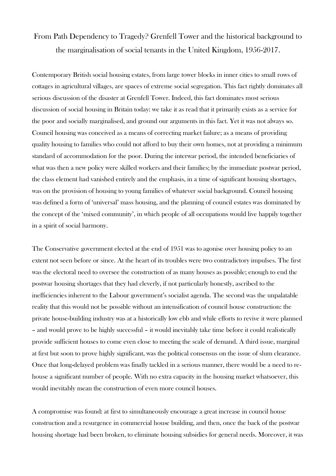## From Path Dependency to Tragedy? Grenfell Tower and the historical background to the marginalisation of social tenants in the United Kingdom, 1956-2017.

Contemporary British social housing estates, from large tower blocks in inner cities to small rows of cottages in agricultural villages, are spaces of extreme social segregation. This fact rightly dominates all serious discussion of the disaster at Grenfell Tower. Indeed, this fact dominates most serious discussion of social housing in Britain today: we take it as read that it primarily exists as a service for the poor and socially marginalised, and ground our arguments in this fact. Yet it was not always so. Council housing was conceived as a means of correcting market failure; as a means of providing quality housing to families who could not afford to buy their own homes, not at providing a minimum standard of accommodation for the poor. During the interwar period, the intended beneficiaries of what was then a new policy were skilled workers and their families; by the immediate postwar period, the class element had vanished entirely and the emphasis, in a time of significant housing shortages, was on the provision of housing to young families of whatever social background. Council housing was defined a form of 'universal' mass housing, and the planning of council estates was dominated by the concept of the 'mixed community', in which people of all occupations would live happily together in a spirit of social harmony.

The Conservative government elected at the end of 1951 was to agonise over housing policy to an extent not seen before or since. At the heart of its troubles were two contradictory impulses. The first was the electoral need to oversee the construction of as many houses as possible; enough to end the postwar housing shortages that they had cleverly, if not particularly honestly, ascribed to the inefficiencies inherent to the Labour government's socialist agenda. The second was the unpalatable reality that this would not be possible without an intensification of council house construction: the private house-building industry was at a historically low ebb and while efforts to revive it were planned – and would prove to be highly successful – it would inevitably take time before it could realistically provide sufficient houses to come even close to meeting the scale of demand. A third issue, marginal at first but soon to prove highly significant, was the political consensus on the issue of slum clearance. Once that long-delayed problem was finally tackled in a serious manner, there would be a need to rehouse a significant number of people. With no extra capacity in the housing market whatsoever, this would inevitably mean the construction of even more council houses.

A compromise was found: at first to simultaneously encourage a great increase in council house construction and a resurgence in commercial house building, and then, once the back of the postwar housing shortage had been broken, to eliminate housing subsidies for general needs. Moreover, it was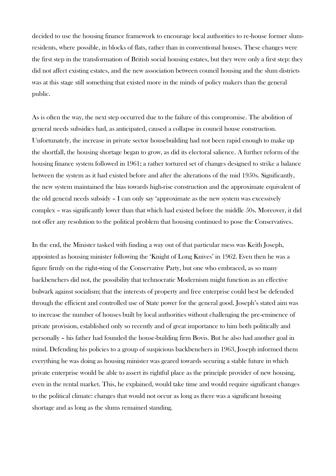decided to use the housing finance framework to encourage local authorities to re-house former slumresidents, where possible, in blocks of flats, rather than in conventional houses. These changes were the first step in the transformation of British social housing estates, but they were only a first step: they did not affect existing estates, and the new association between council housing and the slum districts was at this stage still something that existed more in the minds of policy makers than the general public.

As is often the way, the next step occurred due to the failure of this compromise. The abolition of general needs subsidies had, as anticipated, caused a collapse in council house construction. Unfortunately, the increase in private sector housebuilding had not been rapid enough to make up the shortfall, the housing shortage began to grow, as did its electoral salience. A further reform of the housing finance system followed in 1961; a rather tortured set of changes designed to strike a balance between the system as it had existed before and after the alterations of the mid 1950s. Significantly, the new system maintained the bias towards high-rise construction and the approximate equivalent of the old general needs subsidy – I can only say 'approximate as the new system was excessively complex – was significantly lower than that which had existed before the middle 50s. Moreover, it did not offer any resolution to the political problem that housing continued to pose the Conservatives.

In the end, the Minister tasked with finding a way out of that particular mess was Keith Joseph, appointed as housing minister following the 'Knight of Long Knives' in 1962. Even then he was a figure firmly on the right-wing of the Conservative Party, but one who embraced, as so many backbenchers did not, the possibility that technocratic Modernism might function as an effective bulwark against socialism; that the interests of property and free enterprise could best be defended through the efficient and controlled use of State power for the general good. Joseph's stated aim was to increase the number of houses built by local authorities without challenging the pre-eminence of private provision, established only so recently and of great importance to him both politically and personally – his father had founded the house-building firm Bovis. But he also had another goal in mind. Defending his policies to a group of suspicious backbenchers in 1963, Joseph informed them everything he was doing as housing minister was geared towards securing a stable future in which private enterprise would be able to assert its rightful place as the principle provider of new housing, even in the rental market. This, he explained, would take time and would require significant changes to the political climate: changes that would not occur as long as there was a significant housing shortage and as long as the slums remained standing.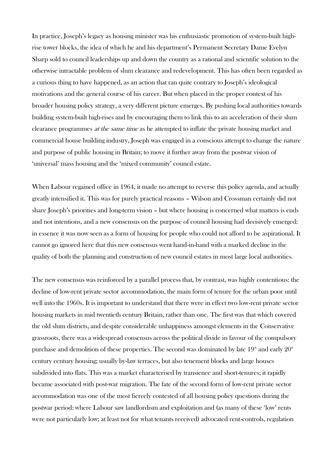In practice, Joseph's legacy as housing minister was his enthusiastic promotion of system-built highrise tower blocks, the idea of which he and his department's Permanent Secretary Dame Evelyn Sharp sold to council leaderships up and down the country as a rational and scientific solution to the otherwise intractable problem of slum clearance and redevelopment. This has often been regarded as a curious thing to have happened, as an action that ran quite contrary to Joseph's ideological motivations and the general course of his career. But when placed in the proper context of his broader housing policy strategy, a very different picture emerges. By pushing local authorities towards building system-built high-rises and by encouraging them to link this to an acceleration of their slum clearance programmes *at the same time* as he attempted to inflate the private housing market and commercial house building industry, Joseph was engaged in a conscious attempt to change the nature and purpose of public housing in Britain; to move it further away from the postwar vision of 'universal' mass housing and the 'mixed community' council estate.

When Labour regained office in 1964, it made no attempt to reverse this policy agenda, and actually greatly intensified it. This was for purely practical reasons – Wilson and Crossman certainly did not share Joseph's priorities and long-term vision – but where housing is concerned what matters is ends and not intentions, and a new consensus on the purpose of council housing had decisively emerged: in essence it was now seen as a form of housing for people who could not afford to be aspirational. It cannot go ignored here that this new consensus went hand-in-hand with a marked decline in the quality of both the planning and construction of new council estates in most large local authorities.

The new consensus was reinforced by a parallel process that, by contrast, was highly contentious: the decline of low-rent private sector accommodation, the main form of tenure for the urban poor until well into the 1960s. It is important to understand that there were in effect two low-rent private sector housing markets in mid twentieth century Britain, rather than one. The first was that which covered the old slum districts, and despite considerable unhappiness amongst elements in the Conservative grassroots, there was a widespread consensus across the political divide in favour of the compulsory purchase and demolition of these properties. The second was dominated by late  $19<sup>th</sup>$  and early  $20<sup>th</sup>$ century century housing; usually by-law terraces, but also tenement blocks and large houses subdivided into flats. This was a market characterised by transience and short-tenures; it rapidly became associated with post-war migration. The fate of the second form of low-rent private sector accommodation was one of the most fiercely contested of all housing policy questions during the postwar period: where Labour saw landlordism and exploitation and (as many of these 'low' rents were not particularly low; at least not for what tenants received) advocated rent-controls, regulation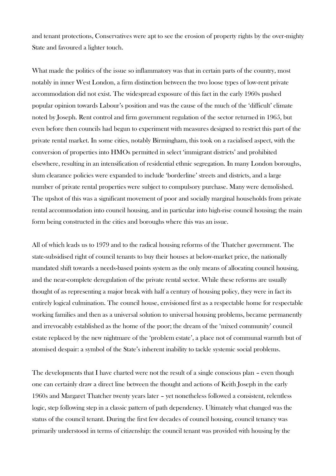and tenant protections, Conservatives were apt to see the erosion of property rights by the over-mighty State and favoured a lighter touch.

What made the politics of the issue so inflammatory was that in certain parts of the country, most notably in inner West London, a firm distinction between the two loose types of low-rent private accommodation did not exist. The widespread exposure of this fact in the early 1960s pushed popular opinion towards Labour's position and was the cause of the much of the 'difficult' climate noted by Joseph. Rent control and firm government regulation of the sector returned in 1965, but even before then councils had begun to experiment with measures designed to restrict this part of the private rental market. In some cities, notably Birmingham, this took on a racialised aspect, with the conversion of properties into HMOs permitted in select 'immigrant districts' and prohibited elsewhere, resulting in an intensification of residential ethnic segregation. In many London boroughs, slum clearance policies were expanded to include 'borderline' streets and districts, and a large number of private rental properties were subject to compulsory purchase. Many were demolished. The upshot of this was a significant movement of poor and socially marginal households from private rental accommodation into council housing, and in particular into high-rise council housing; the main form being constructed in the cities and boroughs where this was an issue.

All of which leads us to 1979 and to the radical housing reforms of the Thatcher government. The state-subsidised right of council tenants to buy their houses at below-market price, the nationally mandated shift towards a needs-based points system as the only means of allocating council housing, and the near-complete deregulation of the private rental sector. While these reforms are usually thought of as representing a major break with half a century of housing policy, they were in fact its entirely logical culmination. The council house, envisioned first as a respectable home for respectable working families and then as a universal solution to universal housing problems, became permanently and irrevocably established as the home of the poor; the dream of the 'mixed community' council estate replaced by the new nightmare of the 'problem estate', a place not of communal warmth but of atomised despair: a symbol of the State's inherent inability to tackle systemic social problems.

The developments that I have charted were not the result of a single conscious plan – even though one can certainly draw a direct line between the thought and actions of Keith Joseph in the early 1960s and Margaret Thatcher twenty years later – yet nonetheless followed a consistent, relentless logic, step following step in a classic pattern of path dependency. Ultimately what changed was the status of the council tenant. During the first few decades of council housing, council tenancy was primarily understood in terms of citizenship: the council tenant was provided with housing by the